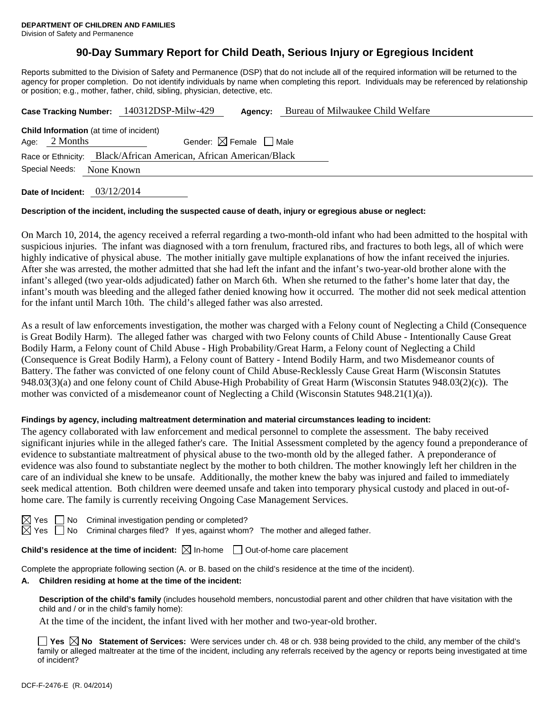# **90-Day Summary Report for Child Death, Serious Injury or Egregious Incident**

Reports submitted to the Division of Safety and Permanence (DSP) that do not include all of the required information will be returned to the agency for proper completion. Do not identify individuals by name when completing this report. Individuals may be referenced by relationship or position; e.g., mother, father, child, sibling, physician, detective, etc.

|                                                                   |                                                           |  | Case Tracking Number: 140312DSP-Milw-429 | Agency: | Bureau of Milwaukee Child Welfare |  |  |  |  |
|-------------------------------------------------------------------|-----------------------------------------------------------|--|------------------------------------------|---------|-----------------------------------|--|--|--|--|
| <b>Child Information</b> (at time of incident)                    |                                                           |  |                                          |         |                                   |  |  |  |  |
|                                                                   | Gender: $\boxtimes$ Female $\Box$ Male<br>Age: $2$ Months |  |                                          |         |                                   |  |  |  |  |
| Race or Ethnicity: Black/African American, African American/Black |                                                           |  |                                          |         |                                   |  |  |  |  |
| Special Needs:<br>None Known                                      |                                                           |  |                                          |         |                                   |  |  |  |  |
|                                                                   |                                                           |  |                                          |         |                                   |  |  |  |  |

**Date of Incident:** 03/12/2014

#### **Description of the incident, including the suspected cause of death, injury or egregious abuse or neglect:**

On March 10, 2014, the agency received a referral regarding a two-month-old infant who had been admitted to the hospital with suspicious injuries. The infant was diagnosed with a torn frenulum, fractured ribs, and fractures to both legs, all of which were highly indicative of physical abuse. The mother initially gave multiple explanations of how the infant received the injuries. After she was arrested, the mother admitted that she had left the infant and the infant's two-year-old brother alone with the infant's alleged (two year-olds adjudicated) father on March 6th. When she returned to the father's home later that day, the infant's mouth was bleeding and the alleged father denied knowing how it occurred. The mother did not seek medical attention for the infant until March 10th. The child's alleged father was also arrested.

As a result of law enforcements investigation, the mother was charged with a Felony count of Neglecting a Child (Consequence is Great Bodily Harm). The alleged father was charged with two Felony counts of Child Abuse - Intentionally Cause Great Bodily Harm, a Felony count of Child Abuse - High Probability/Great Harm, a Felony count of Neglecting a Child (Consequence is Great Bodily Harm), a Felony count of Battery - Intend Bodily Harm, and two Misdemeanor counts of Battery. The father was convicted of one felony count of Child Abuse-Recklessly Cause Great Harm (Wisconsin Statutes 948.03(3)(a) and one felony count of Child Abuse-High Probability of Great Harm (Wisconsin Statutes 948.03(2)(c)). The mother was convicted of a misdemeanor count of Neglecting a Child (Wisconsin Statutes 948.21(1)(a)).

#### **Findings by agency, including maltreatment determination and material circumstances leading to incident:**

The agency collaborated with law enforcement and medical personnel to complete the assessment. The baby received significant injuries while in the alleged father's care. The Initial Assessment completed by the agency found a preponderance of evidence to substantiate maltreatment of physical abuse to the two-month old by the alleged father. A preponderance of evidence was also found to substantiate neglect by the mother to both children. The mother knowingly left her children in the care of an individual she knew to be unsafe. Additionally, the mother knew the baby was injured and failed to immediately seek medical attention. Both children were deemed unsafe and taken into temporary physical custody and placed in out-ofhome care. The family is currently receiving Ongoing Case Management Services.

| ∸∽ |  |
|----|--|
| u  |  |

No Criminal investigation pending or completed?

No Criminal charges filed? If yes, against whom? The mother and alleged father.

**Child's residence at the time of incident:**  $\boxtimes$  In-home  $\Box$  Out-of-home care placement

Complete the appropriate following section (A. or B. based on the child's residence at the time of the incident).

#### **A. Children residing at home at the time of the incident:**

**Description of the child's family** (includes household members, noncustodial parent and other children that have visitation with the child and / or in the child's family home):

At the time of the incident, the infant lived with her mother and two-year-old brother.

■ Yes **No** Statement of Services: Were services under ch. 48 or ch. 938 being provided to the child, any member of the child's family or alleged maltreater at the time of the incident, including any referrals received by the agency or reports being investigated at time of incident?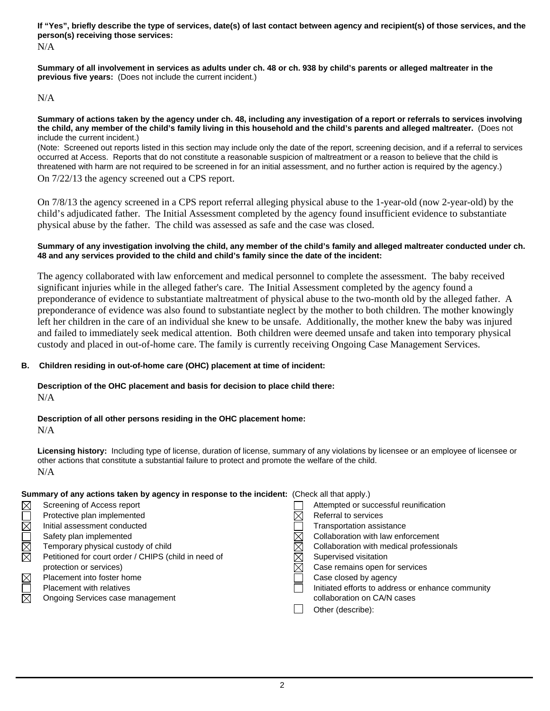**If "Yes", briefly describe the type of services, date(s) of last contact between agency and recipient(s) of those services, and the person(s) receiving those services:** 

N/A

**Summary of all involvement in services as adults under ch. 48 or ch. 938 by child's parents or alleged maltreater in the previous five years:** (Does not include the current incident.)

### N/A

#### **Summary of actions taken by the agency under ch. 48, including any investigation of a report or referrals to services involving the child, any member of the child's family living in this household and the child's parents and alleged maltreater.** (Does not include the current incident.)

(Note: Screened out reports listed in this section may include only the date of the report, screening decision, and if a referral to services occurred at Access. Reports that do not constitute a reasonable suspicion of maltreatment or a reason to believe that the child is threatened with harm are not required to be screened in for an initial assessment, and no further action is required by the agency.)

On 7/22/13 the agency screened out a CPS report.

On 7/8/13 the agency screened in a CPS report referral alleging physical abuse to the 1-year-old (now 2-year-old) by the child's adjudicated father. The Initial Assessment completed by the agency found insufficient evidence to substantiate physical abuse by the father. The child was assessed as safe and the case was closed.

#### **Summary of any investigation involving the child, any member of the child's family and alleged maltreater conducted under ch. 48 and any services provided to the child and child's family since the date of the incident:**

The agency collaborated with law enforcement and medical personnel to complete the assessment. The baby received significant injuries while in the alleged father's care. The Initial Assessment completed by the agency found a preponderance of evidence to substantiate maltreatment of physical abuse to the two-month old by the alleged father. A preponderance of evidence was also found to substantiate neglect by the mother to both children. The mother knowingly left her children in the care of an individual she knew to be unsafe. Additionally, the mother knew the baby was injured and failed to immediately seek medical attention. Both children were deemed unsafe and taken into temporary physical custody and placed in out-of-home care. The family is currently receiving Ongoing Case Management Services.

## **B. Children residing in out-of-home care (OHC) placement at time of incident:**

# **Description of the OHC placement and basis for decision to place child there:**

N/A

## **Description of all other persons residing in the OHC placement home:**

N/A

**Licensing history:** Including type of license, duration of license, summary of any violations by licensee or an employee of licensee or other actions that constitute a substantial failure to protect and promote the welfare of the child. N/A

## **Summary of any actions taken by agency in response to the incident:** (Check all that apply.)

| $\boxtimes$            | Screening of Access report                           |          | Attempted or successful reunification             |
|------------------------|------------------------------------------------------|----------|---------------------------------------------------|
|                        | Protective plan implemented                          | ⋉        | Referral to services                              |
| $\mathbb N$            | Initial assessment conducted                         |          | Transportation assistance                         |
|                        | Safety plan implemented                              |          | Collaboration with law enforcement                |
| MML                    | Temporary physical custody of child                  | $\times$ | Collaboration with medical professionals          |
|                        | Petitioned for court order / CHIPS (child in need of | ⋉        | Supervised visitation                             |
|                        | protection or services)                              | ⋉        | Case remains open for services                    |
| $\boxtimes$            | Placement into foster home                           |          | Case closed by agency                             |
|                        | Placement with relatives                             |          | Initiated efforts to address or enhance community |
| $\overline{\boxtimes}$ | Ongoing Services case management                     |          | collaboration on CA/N cases                       |
|                        |                                                      |          | Other (describe):                                 |
|                        |                                                      |          |                                                   |